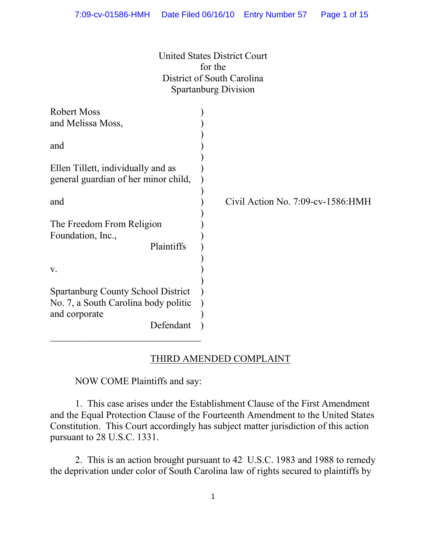United States District Court for the District of South Carolina Spartanburg Division

| Robert Moss                                    |                                           |
|------------------------------------------------|-------------------------------------------|
| and Melissa Moss,                              |                                           |
|                                                |                                           |
| and                                            |                                           |
|                                                |                                           |
| Ellen Tillett, individually and as             |                                           |
| general guardian of her minor child,           |                                           |
|                                                |                                           |
| and                                            | Civil Action No. $7:09$ -cv- $1586$ : HMH |
|                                                |                                           |
| The Freedom From Religion<br>Foundation, Inc., |                                           |
| Plaintiffs                                     |                                           |
|                                                |                                           |
| V.                                             |                                           |
|                                                |                                           |
| <b>Spartanburg County School District</b>      |                                           |
| No. 7, a South Carolina body politic           |                                           |
| and corporate                                  |                                           |
| Defendant                                      |                                           |
|                                                |                                           |

#### THIRD AMENDED COMPLAINT

NOW COME Plaintiffs and say:

1. This case arises under the Establishment Clause of the First Amendment and the Equal Protection Clause of the Fourteenth Amendment to the United States Constitution. This Court accordingly has subject matter jurisdiction of this action pursuant to 28 U.S.C. 1331.

2. This is an action brought pursuant to 42 U.S.C. 1983 and 1988 to remedy the deprivation under color of South Carolina law of rights secured to plaintiffs by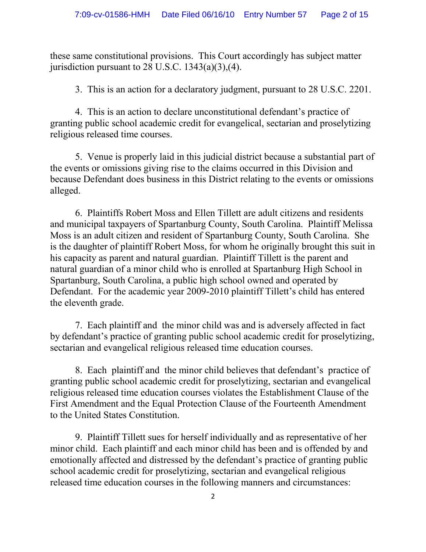these same constitutional provisions. This Court accordingly has subject matter jurisdiction pursuant to  $28$  U.S.C.  $1343(a)(3),(4)$ .

3. This is an action for a declaratory judgment, pursuant to 28 U.S.C. 2201.

4. This is an action to declare unconstitutional defendant's practice of granting public school academic credit for evangelical, sectarian and proselytizing religious released time courses.

5. Venue is properly laid in this judicial district because a substantial part of the events or omissions giving rise to the claims occurred in this Division and because Defendant does business in this District relating to the events or omissions alleged.

6. Plaintiffs Robert Moss and Ellen Tillett are adult citizens and residents and municipal taxpayers of Spartanburg County, South Carolina. Plaintiff Melissa Moss is an adult citizen and resident of Spartanburg County, South Carolina. She is the daughter of plaintiff Robert Moss, for whom he originally brought this suit in his capacity as parent and natural guardian. Plaintiff Tillett is the parent and natural guardian of a minor child who is enrolled at Spartanburg High School in Spartanburg, South Carolina, a public high school owned and operated by Defendant. For the academic year 2009-2010 plaintiff Tillett's child has entered the eleventh grade.

7. Each plaintiff and the minor child was and is adversely affected in fact by defendant's practice of granting public school academic credit for proselytizing, sectarian and evangelical religious released time education courses.

8. Each plaintiff and the minor child believes that defendant's practice of granting public school academic credit for proselytizing, sectarian and evangelical religious released time education courses violates the Establishment Clause of the First Amendment and the Equal Protection Clause of the Fourteenth Amendment to the United States Constitution.

9. Plaintiff Tillett sues for herself individually and as representative of her minor child. Each plaintiff and each minor child has been and is offended by and emotionally affected and distressed by the defendant's practice of granting public school academic credit for proselytizing, sectarian and evangelical religious released time education courses in the following manners and circumstances: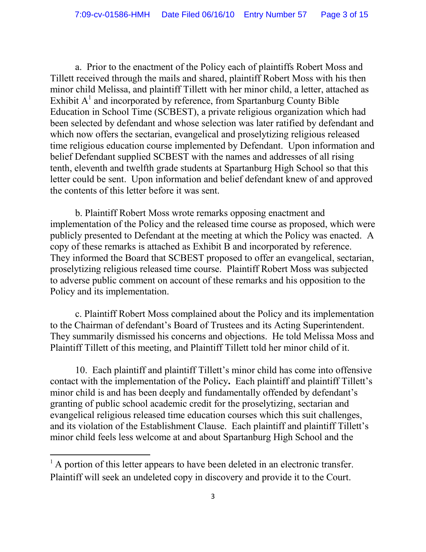a. Prior to the enactment of the Policy each of plaintiffs Robert Moss and Tillett received through the mails and shared, plaintiff Robert Moss with his then minor child Melissa, and plaintiff Tillett with her minor child, a letter, attached as Exhibit  $A<sup>1</sup>$  and incorporated by reference, from Spartanburg County Bible Education in School Time (SCBEST), a private religious organization which had been selected by defendant and whose selection was later ratified by defendant and which now offers the sectarian, evangelical and proselytizing religious released time religious education course implemented by Defendant. Upon information and belief Defendant supplied SCBEST with the names and addresses of all rising tenth, eleventh and twelfth grade students at Spartanburg High School so that this letter could be sent. Upon information and belief defendant knew of and approved the contents of this letter before it was sent.

b. Plaintiff Robert Moss wrote remarks opposing enactment and implementation of the Policy and the released time course as proposed, which were publicly presented to Defendant at the meeting at which the Policy was enacted. A copy of these remarks is attached as Exhibit B and incorporated by reference. They informed the Board that SCBEST proposed to offer an evangelical, sectarian, proselytizing religious released time course. Plaintiff Robert Moss was subjected to adverse public comment on account of these remarks and his opposition to the Policy and its implementation.

c. Plaintiff Robert Moss complained about the Policy and its implementation to the Chairman of defendant's Board of Trustees and its Acting Superintendent. They summarily dismissed his concerns and objections. He told Melissa Moss and Plaintiff Tillett of this meeting, and Plaintiff Tillett told her minor child of it.

10. Each plaintiff and plaintiff Tillett's minor child has come into offensive contact with the implementation of the Policy**.** Each plaintiff and plaintiff Tillett's minor child is and has been deeply and fundamentally offended by defendant's granting of public school academic credit for the proselytizing, sectarian and evangelical religious released time education courses which this suit challenges, and its violation of the Establishment Clause. Each plaintiff and plaintiff Tillett's minor child feels less welcome at and about Spartanburg High School and the

<sup>&</sup>lt;sup>1</sup> A portion of this letter appears to have been deleted in an electronic transfer. Plaintiff will seek an undeleted copy in discovery and provide it to the Court.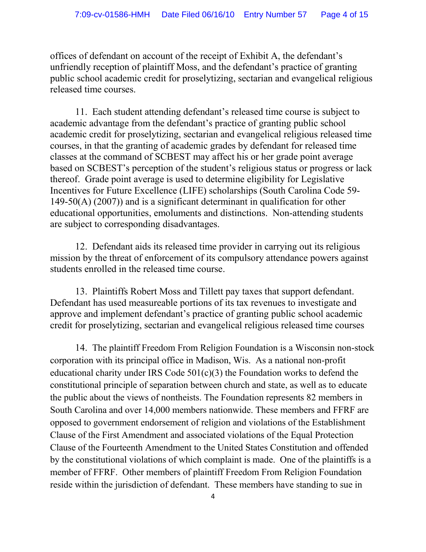offices of defendant on account of the receipt of Exhibit A, the defendant's unfriendly reception of plaintiff Moss, and the defendant's practice of granting public school academic credit for proselytizing, sectarian and evangelical religious released time courses.

11. Each student attending defendant's released time course is subject to academic advantage from the defendant's practice of granting public school academic credit for proselytizing, sectarian and evangelical religious released time courses, in that the granting of academic grades by defendant for released time classes at the command of SCBEST may affect his or her grade point average based on SCBEST's perception of the student's religious status or progress or lack thereof. Grade point average is used to determine eligibility for Legislative Incentives for Future Excellence (LIFE) scholarships (South Carolina Code 59- 149-50(A) (2007)) and is a significant determinant in qualification for other educational opportunities, emoluments and distinctions. Non-attending students are subject to corresponding disadvantages.

12. Defendant aids its released time provider in carrying out its religious mission by the threat of enforcement of its compulsory attendance powers against students enrolled in the released time course.

13. Plaintiffs Robert Moss and Tillett pay taxes that support defendant. Defendant has used measureable portions of its tax revenues to investigate and approve and implement defendant's practice of granting public school academic credit for proselytizing, sectarian and evangelical religious released time courses

14. The plaintiff Freedom From Religion Foundation is a Wisconsin non-stock corporation with its principal office in Madison, Wis. As a national non-profit educational charity under IRS Code 501(c)(3) the Foundation works to defend the constitutional principle of separation between church and state, as well as to educate the public about the views of nontheists. The Foundation represents 82 members in South Carolina and over 14,000 members nationwide. These members and FFRF are opposed to government endorsement of religion and violations of the Establishment Clause of the First Amendment and associated violations of the Equal Protection Clause of the Fourteenth Amendment to the United States Constitution and offended by the constitutional violations of which complaint is made. One of the plaintiffs is a member of FFRF. Other members of plaintiff Freedom From Religion Foundation reside within the jurisdiction of defendant. These members have standing to sue in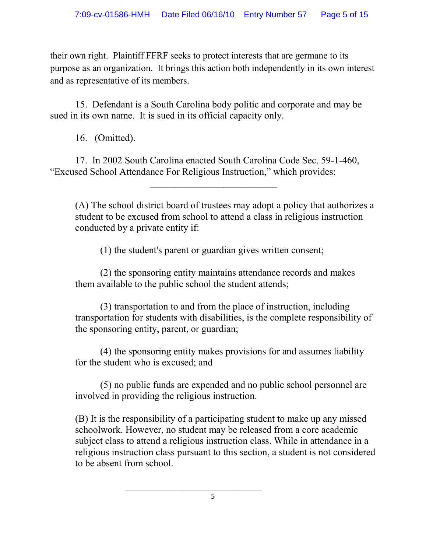their own right. Plaintiff FFRF seeks to protect interests that are germane to its purpose as an organization. It brings this action both independently in its own interest and as representative of its members.

15. Defendant is a South Carolina body politic and corporate and may be sued in its own name. It is sued in its official capacity only.

16. (Omitted).

17. In 2002 South Carolina enacted South Carolina Code Sec. 59-1-460, "Excused School Attendance For Religious Instruction," which provides:

\_\_\_\_\_\_\_\_\_\_\_\_\_\_\_\_\_\_\_\_\_\_\_\_\_\_

(A) The school district board of trustees may adopt a policy that authorizes a student to be excused from school to attend a class in religious instruction conducted by a private entity if:

(1) the student's parent or guardian gives written consent;

(2) the sponsoring entity maintains attendance records and makes them available to the public school the student attends;

(3) transportation to and from the place of instruction, including transportation for students with disabilities, is the complete responsibility of the sponsoring entity, parent, or guardian;

(4) the sponsoring entity makes provisions for and assumes liability for the student who is excused; and

(5) no public funds are expended and no public school personnel are involved in providing the religious instruction.

(B) It is the responsibility of a participating student to make up any missed schoolwork. However, no student may be released from a core academic subject class to attend a religious instruction class. While in attendance in a religious instruction class pursuant to this section, a student is not considered to be absent from school.

5

 $\overline{\phantom{a}}$  , which is a set of the set of the set of the set of the set of the set of the set of the set of the set of the set of the set of the set of the set of the set of the set of the set of the set of the set of th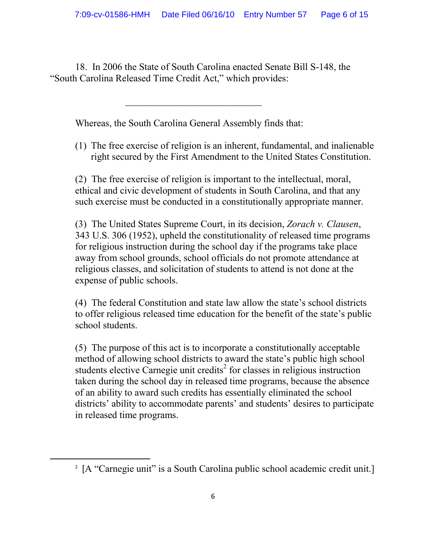18. In 2006 the State of South Carolina enacted Senate Bill S-148, the "South Carolina Released Time Credit Act," which provides:

Whereas, the South Carolina General Assembly finds that:

\_\_\_\_\_\_\_\_\_\_\_\_\_\_\_\_\_\_\_\_\_\_\_\_\_\_\_\_

(1) The free exercise of religion is an inherent, fundamental, and inalienable right secured by the First Amendment to the United States Constitution.

(2) The free exercise of religion is important to the intellectual, moral, ethical and civic development of students in South Carolina, and that any such exercise must be conducted in a constitutionally appropriate manner.

(3) The United States Supreme Court, in its decision, *Zorach v. Clausen*, 343 U.S. 306 (1952), upheld the constitutionality of released time programs for religious instruction during the school day if the programs take place away from school grounds, school officials do not promote attendance at religious classes, and solicitation of students to attend is not done at the expense of public schools.

(4) The federal Constitution and state law allow the state's school districts to offer religious released time education for the benefit of the state's public school students.

(5) The purpose of this act is to incorporate a constitutionally acceptable method of allowing school districts to award the state's public high school students elective Carnegie unit credits<sup>2</sup> for classes in religious instruction taken during the school day in released time programs, because the absence of an ability to award such credits has essentially eliminated the school districts' ability to accommodate parents' and students' desires to participate in released time programs.

<sup>&</sup>lt;sup>2</sup> [A "Carnegie unit" is a South Carolina public school academic credit unit.]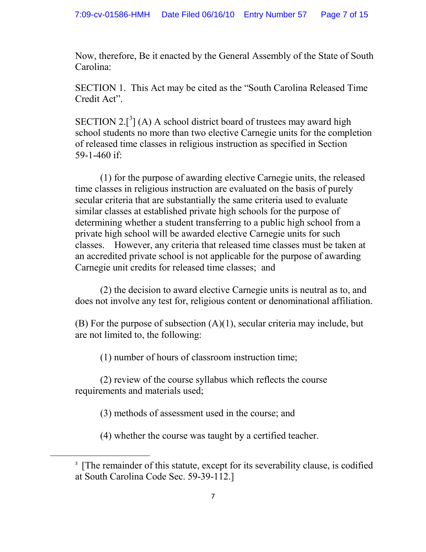Now, therefore, Be it enacted by the General Assembly of the State of South Carolina:

SECTION 1. This Act may be cited as the "South Carolina Released Time Credit Act".

SECTION 2.<sup>[3</sup>] (A) A school district board of trustees may award high school students no more than two elective Carnegie units for the completion of released time classes in religious instruction as specified in Section 59-1-460 if:

(1) for the purpose of awarding elective Carnegie units, the released time classes in religious instruction are evaluated on the basis of purely secular criteria that are substantially the same criteria used to evaluate similar classes at established private high schools for the purpose of determining whether a student transferring to a public high school from a private high school will be awarded elective Carnegie units for such classes. However, any criteria that released time classes must be taken at an accredited private school is not applicable for the purpose of awarding Carnegie unit credits for released time classes; and

(2) the decision to award elective Carnegie units is neutral as to, and does not involve any test for, religious content or denominational affiliation.

(B) For the purpose of subsection  $(A)(1)$ , secular criteria may include, but are not limited to, the following:

(1) number of hours of classroom instruction time;

(2) review of the course syllabus which reflects the course requirements and materials used;

(3) methods of assessment used in the course; and

(4) whether the course was taught by a certified teacher.

<sup>&</sup>lt;sup>3</sup> [The remainder of this statute, except for its severability clause, is codified at South Carolina Code Sec. 59-39-112.]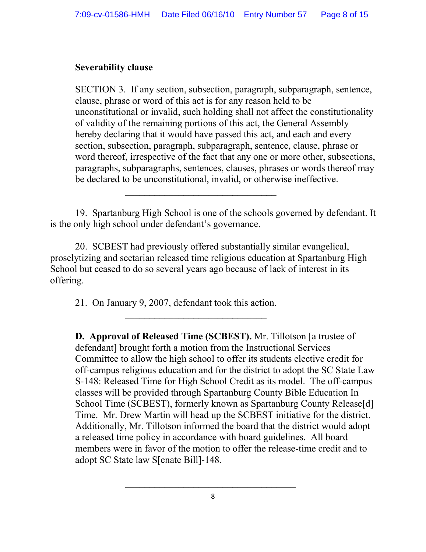#### **Severability clause**

SECTION 3. If any section, subsection, paragraph, subparagraph, sentence, clause, phrase or word of this act is for any reason held to be unconstitutional or invalid, such holding shall not affect the constitutionality of validity of the remaining portions of this act, the General Assembly hereby declaring that it would have passed this act, and each and every section, subsection, paragraph, subparagraph, sentence, clause, phrase or word thereof, irrespective of the fact that any one or more other, subsections, paragraphs, subparagraphs, sentences, clauses, phrases or words thereof may be declared to be unconstitutional, invalid, or otherwise ineffective.

19. Spartanburg High School is one of the schools governed by defendant. It is the only high school under defendant's governance.

\_\_\_\_\_\_\_\_\_\_\_\_\_\_\_\_\_\_\_\_\_\_\_\_\_\_\_\_\_\_\_

20. SCBEST had previously offered substantially similar evangelical, proselytizing and sectarian released time religious education at Spartanburg High School but ceased to do so several years ago because of lack of interest in its offering.

21. On January 9, 2007, defendant took this action.

\_\_\_\_\_\_\_\_\_\_\_\_\_\_\_\_\_\_\_\_\_\_\_\_\_\_\_\_\_

**D. Approval of Released Time (SCBEST).** Mr. Tillotson [a trustee of defendant] brought forth a motion from the Instructional Services Committee to allow the high school to offer its students elective credit for off-campus religious education and for the district to adopt the SC State Law S-148: Released Time for High School Credit as its model. The off-campus classes will be provided through Spartanburg County Bible Education In School Time (SCBEST), formerly known as Spartanburg County Release[d] Time. Mr. Drew Martin will head up the SCBEST initiative for the district. Additionally, Mr. Tillotson informed the board that the district would adopt a released time policy in accordance with board guidelines. All board members were in favor of the motion to offer the release-time credit and to adopt SC State law S[enate Bill]-148.

 $\_$  . The contract of the contract of the contract of the contract of the contract of the contract of the contract of the contract of the contract of the contract of the contract of the contract of the contract of the con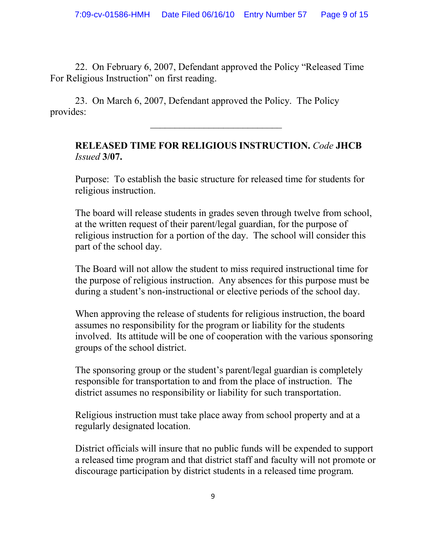22. On February 6, 2007, Defendant approved the Policy "Released Time For Religious Instruction" on first reading.

23. On March 6, 2007, Defendant approved the Policy. The Policy provides:

### **RELEASED TIME FOR RELIGIOUS INSTRUCTION.** *Code* **JHCB** *Issued* **3/07.**

\_\_\_\_\_\_\_\_\_\_\_\_\_\_\_\_\_\_\_\_\_\_\_\_\_\_\_

Purpose: To establish the basic structure for released time for students for religious instruction.

The board will release students in grades seven through twelve from school, at the written request of their parent/legal guardian, for the purpose of religious instruction for a portion of the day. The school will consider this part of the school day.

The Board will not allow the student to miss required instructional time for the purpose of religious instruction. Any absences for this purpose must be during a student's non-instructional or elective periods of the school day.

When approving the release of students for religious instruction, the board assumes no responsibility for the program or liability for the students involved. Its attitude will be one of cooperation with the various sponsoring groups of the school district.

The sponsoring group or the student's parent/legal guardian is completely responsible for transportation to and from the place of instruction. The district assumes no responsibility or liability for such transportation.

Religious instruction must take place away from school property and at a regularly designated location.

District officials will insure that no public funds will be expended to support a released time program and that district staff and faculty will not promote or discourage participation by district students in a released time program.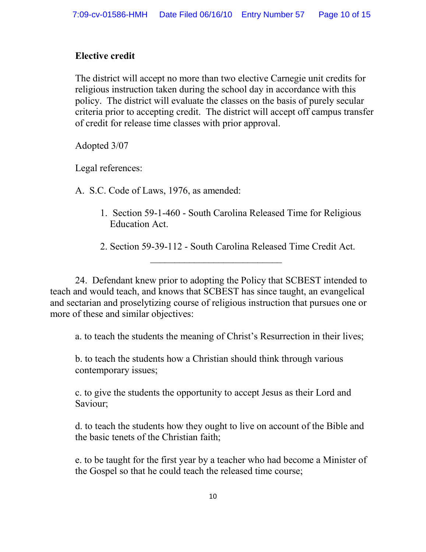## **Elective credit**

The district will accept no more than two elective Carnegie unit credits for religious instruction taken during the school day in accordance with this policy. The district will evaluate the classes on the basis of purely secular criteria prior to accepting credit. The district will accept off campus transfer of credit for release time classes with prior approval.

Adopted 3/07

Legal references:

A. S.C. Code of Laws, 1976, as amended:

- 1. Section 59-1-460 South Carolina Released Time for Religious Education Act.
- 2. Section 59-39-112 South Carolina Released Time Credit Act.

\_\_\_\_\_\_\_\_\_\_\_\_\_\_\_\_\_\_\_\_\_\_\_\_\_\_\_

24. Defendant knew prior to adopting the Policy that SCBEST intended to teach and would teach, and knows that SCBEST has since taught, an evangelical and sectarian and proselytizing course of religious instruction that pursues one or more of these and similar objectives:

a. to teach the students the meaning of Christ's Resurrection in their lives;

b. to teach the students how a Christian should think through various contemporary issues;

c. to give the students the opportunity to accept Jesus as their Lord and Saviour;

d. to teach the students how they ought to live on account of the Bible and the basic tenets of the Christian faith;

e. to be taught for the first year by a teacher who had become a Minister of the Gospel so that he could teach the released time course;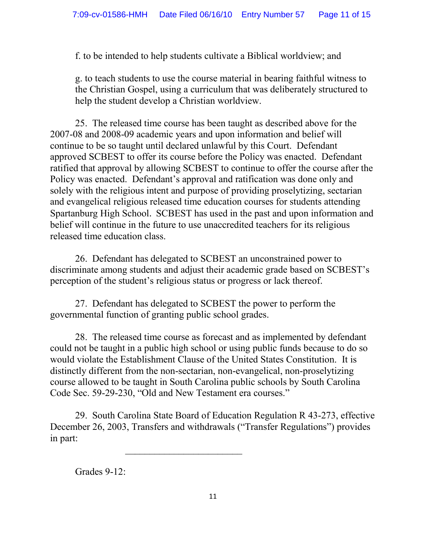f. to be intended to help students cultivate a Biblical worldview; and

g. to teach students to use the course material in bearing faithful witness to the Christian Gospel, using a curriculum that was deliberately structured to help the student develop a Christian worldview.

25. The released time course has been taught as described above for the 2007-08 and 2008-09 academic years and upon information and belief will continue to be so taught until declared unlawful by this Court. Defendant approved SCBEST to offer its course before the Policy was enacted. Defendant ratified that approval by allowing SCBEST to continue to offer the course after the Policy was enacted. Defendant's approval and ratification was done only and solely with the religious intent and purpose of providing proselytizing, sectarian and evangelical religious released time education courses for students attending Spartanburg High School. SCBEST has used in the past and upon information and belief will continue in the future to use unaccredited teachers for its religious released time education class.

26. Defendant has delegated to SCBEST an unconstrained power to discriminate among students and adjust their academic grade based on SCBEST's perception of the student's religious status or progress or lack thereof.

27. Defendant has delegated to SCBEST the power to perform the governmental function of granting public school grades.

28. The released time course as forecast and as implemented by defendant could not be taught in a public high school or using public funds because to do so would violate the Establishment Clause of the United States Constitution. It is distinctly different from the non-sectarian, non-evangelical, non-proselytizing course allowed to be taught in South Carolina public schools by South Carolina Code Sec. 59-29-230, "Old and New Testament era courses."

29. South Carolina State Board of Education Regulation R 43-273, effective December 26, 2003, Transfers and withdrawals ("Transfer Regulations") provides in part:

\_\_\_\_\_\_\_\_\_\_\_\_\_\_\_\_\_\_\_\_\_\_\_\_

Grades 9-12: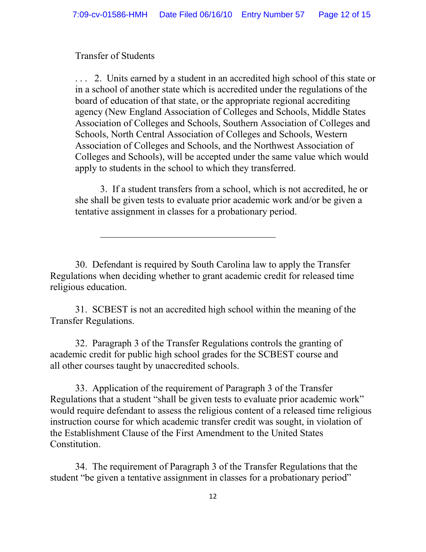### Transfer of Students

2. Units earned by a student in an accredited high school of this state or in a school of another state which is accredited under the regulations of the board of education of that state, or the appropriate regional accrediting agency (New England Association of Colleges and Schools, Middle States Association of Colleges and Schools, Southern Association of Colleges and Schools, North Central Association of Colleges and Schools, Western Association of Colleges and Schools, and the Northwest Association of Colleges and Schools), will be accepted under the same value which would apply to students in the school to which they transferred.

3. If a student transfers from a school, which is not accredited, he or she shall be given tests to evaluate prior academic work and/or be given a tentative assignment in classes for a probationary period.

30. Defendant is required by South Carolina law to apply the Transfer Regulations when deciding whether to grant academic credit for released time religious education.

\_\_\_\_\_\_\_\_\_\_\_\_\_\_\_\_\_\_\_\_\_\_\_\_\_\_\_\_\_\_\_\_\_\_\_\_

31. SCBEST is not an accredited high school within the meaning of the Transfer Regulations.

32. Paragraph 3 of the Transfer Regulations controls the granting of academic credit for public high school grades for the SCBEST course and all other courses taught by unaccredited schools.

33. Application of the requirement of Paragraph 3 of the Transfer Regulations that a student "shall be given tests to evaluate prior academic work" would require defendant to assess the religious content of a released time religious instruction course for which academic transfer credit was sought, in violation of the Establishment Clause of the First Amendment to the United States **Constitution** 

34. The requirement of Paragraph 3 of the Transfer Regulations that the student "be given a tentative assignment in classes for a probationary period"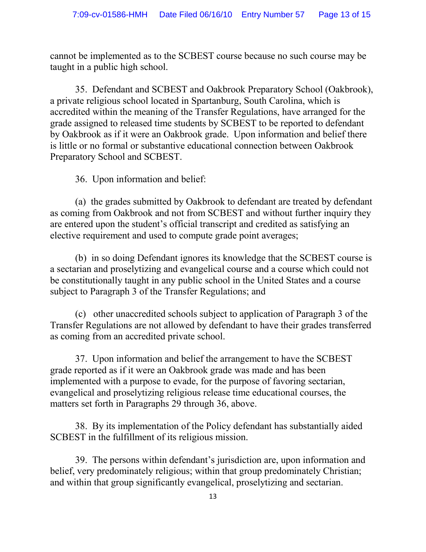cannot be implemented as to the SCBEST course because no such course may be taught in a public high school.

35. Defendant and SCBEST and Oakbrook Preparatory School (Oakbrook), a private religious school located in Spartanburg, South Carolina, which is accredited within the meaning of the Transfer Regulations, have arranged for the grade assigned to released time students by SCBEST to be reported to defendant by Oakbrook as if it were an Oakbrook grade. Upon information and belief there is little or no formal or substantive educational connection between Oakbrook Preparatory School and SCBEST.

36. Upon information and belief:

(a) the grades submitted by Oakbrook to defendant are treated by defendant as coming from Oakbrook and not from SCBEST and without further inquiry they are entered upon the student's official transcript and credited as satisfying an elective requirement and used to compute grade point averages;

(b) in so doing Defendant ignores its knowledge that the SCBEST course is a sectarian and proselytizing and evangelical course and a course which could not be constitutionally taught in any public school in the United States and a course subject to Paragraph 3 of the Transfer Regulations; and

(c) other unaccredited schools subject to application of Paragraph 3 of the Transfer Regulations are not allowed by defendant to have their grades transferred as coming from an accredited private school.

37. Upon information and belief the arrangement to have the SCBEST grade reported as if it were an Oakbrook grade was made and has been implemented with a purpose to evade, for the purpose of favoring sectarian, evangelical and proselytizing religious release time educational courses, the matters set forth in Paragraphs 29 through 36, above.

38. By its implementation of the Policy defendant has substantially aided SCBEST in the fulfillment of its religious mission.

39. The persons within defendant's jurisdiction are, upon information and belief, very predominately religious; within that group predominately Christian; and within that group significantly evangelical, proselytizing and sectarian.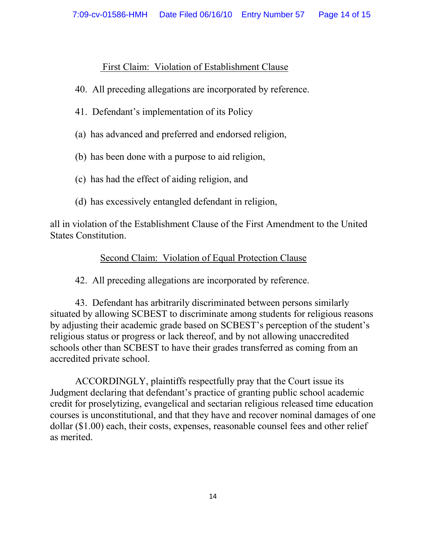## First Claim: Violation of Establishment Clause

- 40. All preceding allegations are incorporated by reference.
- 41. Defendant's implementation of its Policy
- (a) has advanced and preferred and endorsed religion,
- (b) has been done with a purpose to aid religion,
- (c) has had the effect of aiding religion, and
- (d) has excessively entangled defendant in religion,

all in violation of the Establishment Clause of the First Amendment to the United States Constitution.

# Second Claim: Violation of Equal Protection Clause

42. All preceding allegations are incorporated by reference.

43. Defendant has arbitrarily discriminated between persons similarly situated by allowing SCBEST to discriminate among students for religious reasons by adjusting their academic grade based on SCBEST's perception of the student's religious status or progress or lack thereof, and by not allowing unaccredited schools other than SCBEST to have their grades transferred as coming from an accredited private school.

ACCORDINGLY, plaintiffs respectfully pray that the Court issue its Judgment declaring that defendant's practice of granting public school academic credit for proselytizing, evangelical and sectarian religious released time education courses is unconstitutional, and that they have and recover nominal damages of one dollar (\$1.00) each, their costs, expenses, reasonable counsel fees and other relief as merited.